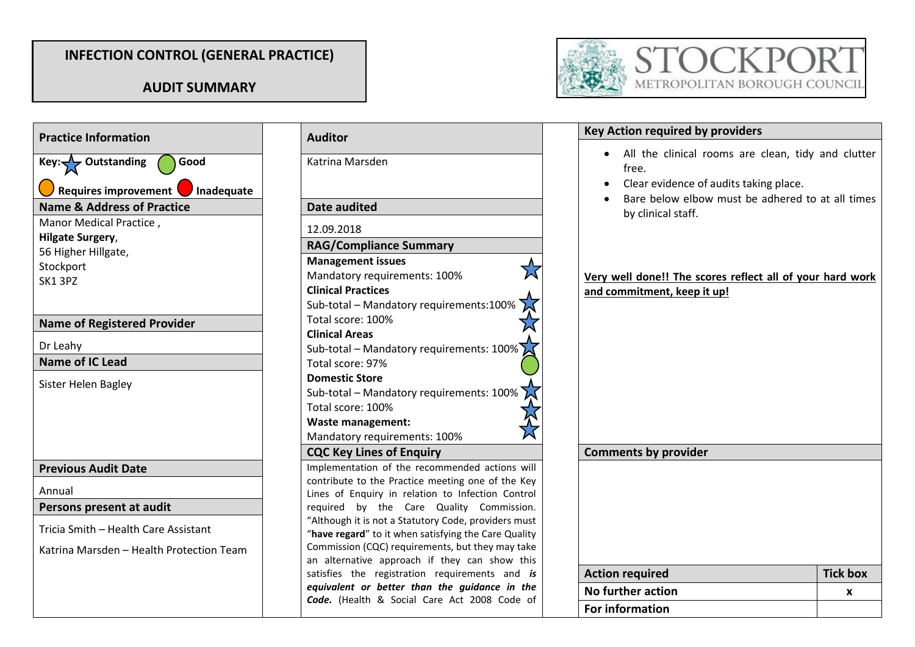## **INFECTION CONTROL (GENERAL PRACTICE)**

## **AUDIT SUMMARY**



| <b>Practice Information</b>                   | <b>Auditor</b>                                                                                               | <b>Key Action required by providers</b>          |
|-----------------------------------------------|--------------------------------------------------------------------------------------------------------------|--------------------------------------------------|
| Key: $\sqrt{\phantom{a}}$ Outstanding<br>Good | Katrina Marsden                                                                                              | All the clinical rooms are<br>$\bullet$<br>free. |
| <b>Requires improvement</b><br>Inadequate     |                                                                                                              | Clear evidence of audits taki                    |
| <b>Name &amp; Address of Practice</b>         | <b>Date audited</b>                                                                                          | Bare below elbow must be                         |
| Manor Medical Practice,                       |                                                                                                              | by clinical staff.                               |
| <b>Hilgate Surgery,</b>                       | 12.09.2018                                                                                                   |                                                  |
| 56 Higher Hillgate,                           | <b>RAG/Compliance Summary</b>                                                                                |                                                  |
| Stockport                                     | <b>Management issues</b>                                                                                     |                                                  |
| SK13PZ                                        | Mandatory requirements: 100%                                                                                 | Very well done!! The scores reflect              |
|                                               | <b>Clinical Practices</b>                                                                                    | and commitment, keep it up!                      |
|                                               | Sub-total - Mandatory requirements:100%                                                                      |                                                  |
| <b>Name of Registered Provider</b>            | Total score: 100%                                                                                            |                                                  |
|                                               | <b>Clinical Areas</b>                                                                                        |                                                  |
| Dr Leahy                                      | Sub-total – Mandatory requirements: $100\%$                                                                  |                                                  |
| <b>Name of IC Lead</b>                        | Total score: 97%                                                                                             |                                                  |
| Sister Helen Bagley                           | <b>Domestic Store</b>                                                                                        |                                                  |
|                                               | Sub-total - Mandatory requirements: 100%                                                                     |                                                  |
|                                               | Total score: 100%                                                                                            |                                                  |
|                                               | <b>Waste management:</b>                                                                                     |                                                  |
|                                               | Mandatory requirements: 100%                                                                                 |                                                  |
|                                               | <b>CQC Key Lines of Enquiry</b>                                                                              | <b>Comments by provider</b>                      |
| <b>Previous Audit Date</b>                    | Implementation of the recommended actions will                                                               |                                                  |
| Annual                                        | contribute to the Practice meeting one of the Key<br>Lines of Enquiry in relation to Infection Control       |                                                  |
| Persons present at audit                      | required by the Care Quality Commission.                                                                     |                                                  |
| Tricia Smith - Health Care Assistant          | "Although it is not a Statutory Code, providers must<br>"have regard" to it when satisfying the Care Quality |                                                  |
| Katrina Marsden - Health Protection Team      | Commission (CQC) requirements, but they may take                                                             |                                                  |
|                                               | an alternative approach if they can show this                                                                |                                                  |
|                                               | satisfies the registration requirements and is                                                               | <b>Action required</b>                           |
|                                               | equivalent or better than the guidance in the<br>Code. (Health & Social Care Act 2008 Code of                | <b>No further action</b>                         |
|                                               |                                                                                                              | <b>For information</b>                           |

| Katrina Marsden                                                                               | All the clinical re<br>free.<br>Clear evidence of |
|-----------------------------------------------------------------------------------------------|---------------------------------------------------|
| <b>Date audited</b>                                                                           | Bare below elboy<br>by clinical staff.            |
| 12.09.2018                                                                                    |                                                   |
| <b>RAG/Compliance Summary</b>                                                                 |                                                   |
| <b>Management issues</b>                                                                      |                                                   |
| Mandatory requirements: 100%                                                                  | Very well done!! The sco                          |
| <b>Clinical Practices</b>                                                                     | and commitment, keep it                           |
| Sub-total - Mandatory requirements:100%                                                       |                                                   |
| Total score: 100%                                                                             |                                                   |
| <b>Clinical Areas</b>                                                                         |                                                   |
| Sub-total - Mandatory requirements: 100%                                                      |                                                   |
| Total score: 97%                                                                              |                                                   |
| <b>Domestic Store</b>                                                                         |                                                   |
| Sub-total - Mandatory requirements: 100%                                                      |                                                   |
| Total score: 100%                                                                             |                                                   |
| <b>Waste management:</b>                                                                      |                                                   |
| Mandatory requirements: 100%                                                                  |                                                   |
| <b>CQC Key Lines of Enquiry</b>                                                               | <b>Comments by provider</b>                       |
| Implementation of the recommended actions will                                                |                                                   |
| contribute to the Practice meeting one of the Key                                             |                                                   |
| Lines of Enquiry in relation to Infection Control<br>by the Care<br>Quality Commission.       |                                                   |
| reguired<br>"Although it is not a Statutory Code, providers must                              |                                                   |
| "have regard" to it when satisfying the Care Quality                                          |                                                   |
| Commission (CQC) requirements, but they may take                                              |                                                   |
| an alternative approach if they can show this                                                 |                                                   |
| satisfies the registration requirements and is                                                | <b>Action required</b>                            |
| equivalent or better than the guidance in the<br>Code. (Health & Social Care Act 2008 Code of | <b>No further action</b>                          |
|                                                                                               | <b>For information</b>                            |

| <b>Key Action required by providers</b>                                                                                                                                         |                 |
|---------------------------------------------------------------------------------------------------------------------------------------------------------------------------------|-----------------|
| All the clinical rooms are clean, tidy and clutter<br>free.<br>Clear evidence of audits taking place.<br>Bare below elbow must be adhered to at all times<br>by clinical staff. |                 |
| Very well done!! The scores reflect all of your hard work<br>and commitment, keep it up!                                                                                        |                 |
|                                                                                                                                                                                 |                 |
| <b>Comments by provider</b>                                                                                                                                                     |                 |
|                                                                                                                                                                                 |                 |
| <b>Action required</b>                                                                                                                                                          | <b>Tick box</b> |
| No further action                                                                                                                                                               | X               |
| <b>For information</b>                                                                                                                                                          |                 |